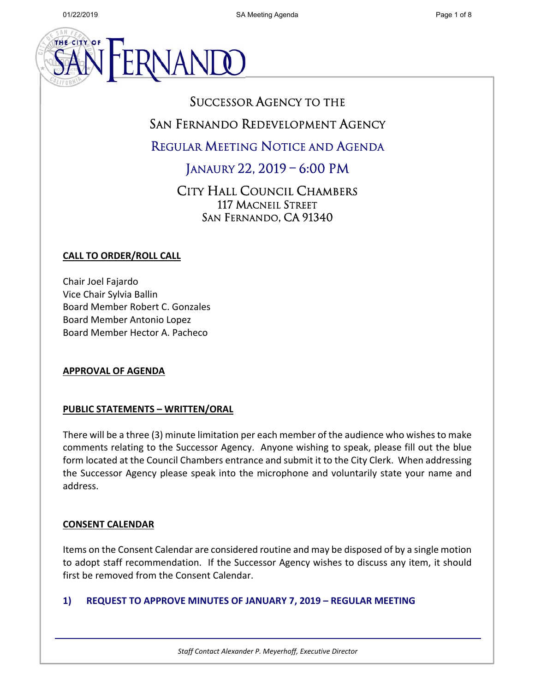

## SUCCESSOR AGENCY TO THE

# SAN FERNANDO REDEVELOPMENT AGENCY

# REGULAR MEETING NOTICE AND AGENDA

# JANAURY 22, 2019 – 6:00 PM

CITY HALL COUNCIL CHAMBERS 117 MACNEIL STREET SAN FERNANDO, CA 91340

## **CALL TO ORDER/ROLL CALL**

Chair Joel Fajardo Vice Chair Sylvia Ballin Board Member Robert C. Gonzales Board Member Antonio Lopez Board Member Hector A. Pacheco

### **APPROVAL OF AGENDA**

### **PUBLIC STATEMENTS – WRITTEN/ORAL**

There will be a three (3) minute limitation per each member of the audience who wishes to make comments relating to the Successor Agency. Anyone wishing to speak, please fill out the blue form located at the Council Chambers entrance and submit it to the City Clerk. When addressing the Successor Agency please speak into the microphone and voluntarily state your name and address.

### **CONSENT CALENDAR**

Items on the Consent Calendar are considered routine and may be disposed of by a single motion to adopt staff recommendation. If the Successor Agency wishes to discuss any item, it should first be removed from the Consent Calendar.

### **1) REQUEST TO APPROVE MINUTES OF JANUARY 7, 2019 – REGULAR MEETING**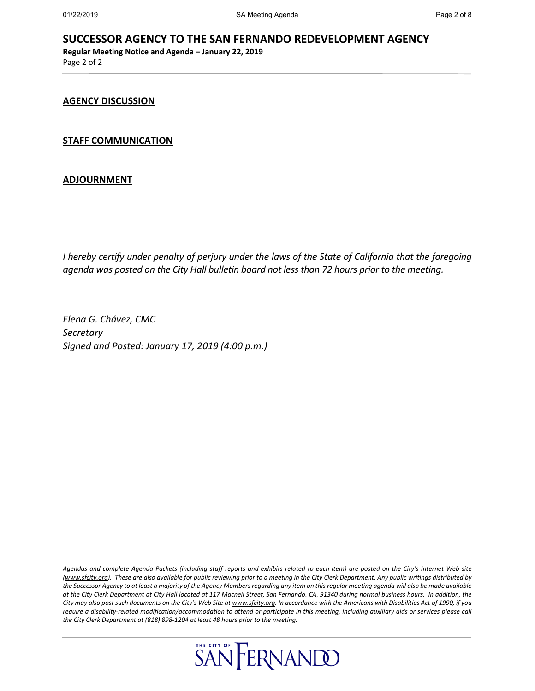### **SUCCESSOR AGENCY TO THE SAN FERNANDO REDEVELOPMENT AGENCY**

**Regular Meeting Notice and Agenda – January 22, 2019**  Page 2 of 2

### **AGENCY DISCUSSION**

#### **STAFF COMMUNICATION**

### **ADJOURNMENT**

*I hereby certify under penalty of perjury under the laws of the State of California that the foregoing agenda was posted on the City Hall bulletin board not less than 72 hours prior to the meeting.*

*Elena G. Chávez, CMC Secretary Signed and Posted: January 17, 2019 (4:00 p.m.)*

*Agendas and complete Agenda Packets (including staff reports and exhibits related to each item) are posted on the City's Internet Web site (www.sfcity.org). These are also available for public reviewing prior to a meeting in the City Clerk Department. Any public writings distributed by the Successor Agency to at least a majority of the Agency Members regarding any item on this regular meeting agenda will also be made available at the City Clerk Department at City Hall located at 117 Macneil Street, San Fernando, CA, 91340 during normal business hours. In addition, the City may also post such documents on the City's Web Site at www.sfcity.org. In accordance with the Americans with Disabilities Act of 1990, if you require a disability‐related modification/accommodation to attend or participate in this meeting, including auxiliary aids or services please call the City Clerk Department at (818) 898‐1204 at least 48 hours prior to the meeting.*

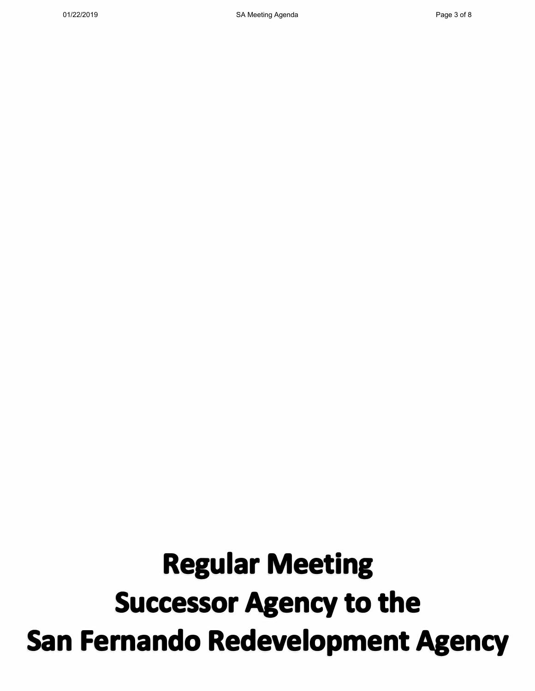# Regular Meeting Successor Agency to the San Fernando Redevelopment Agency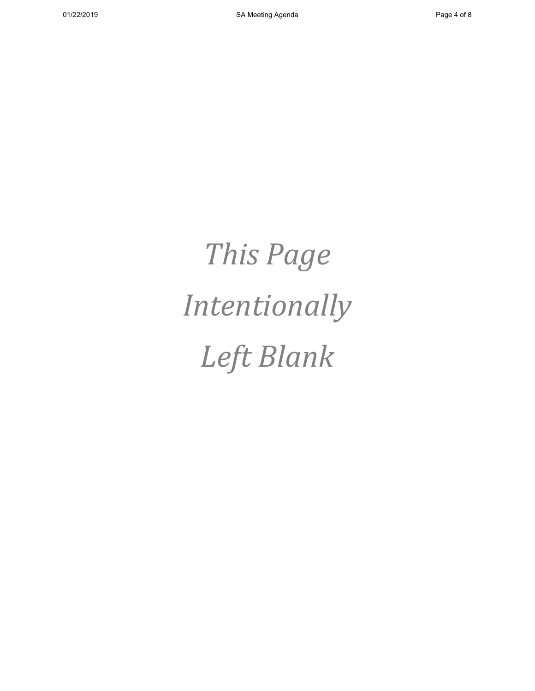*This Page Intentionally Left Blank*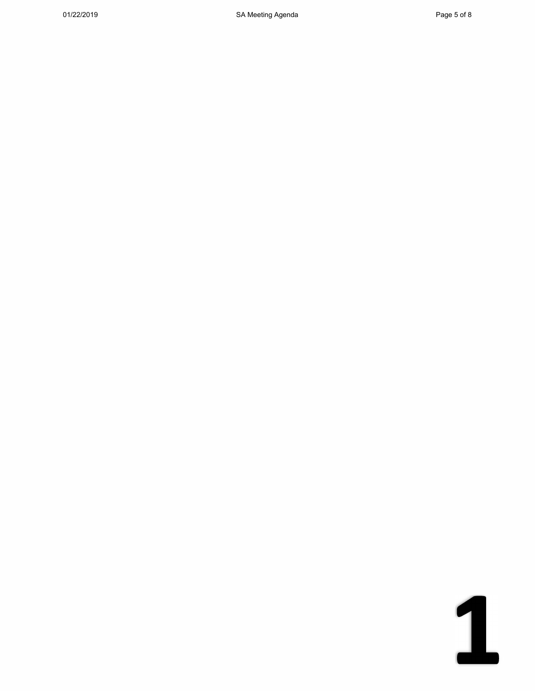1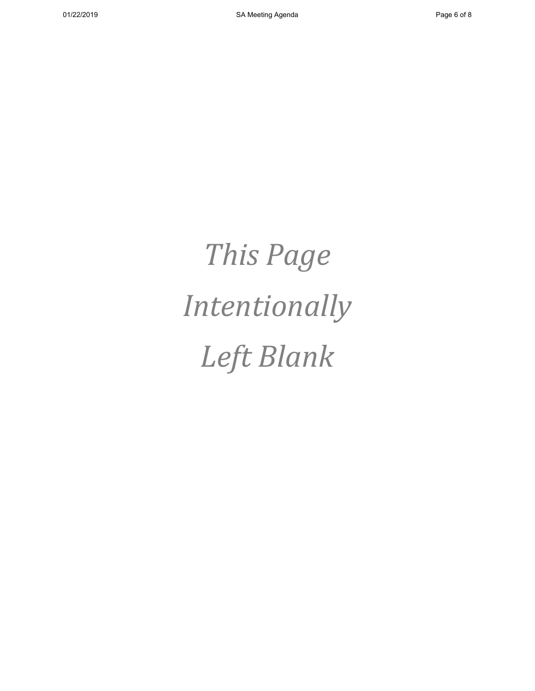*This Page Intentionally Left Blank*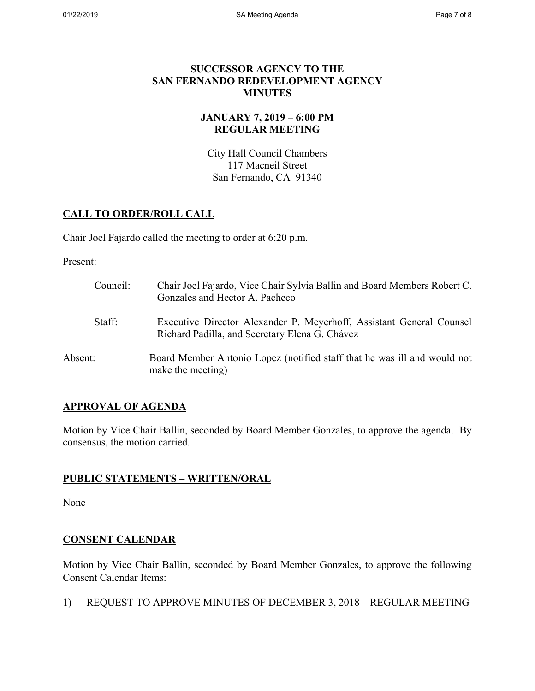### **SUCCESSOR AGENCY TO THE SAN FERNANDO REDEVELOPMENT AGENCY MINUTES**

## **JANUARY 7, 2019 – 6:00 PM REGULAR MEETING**

City Hall Council Chambers 117 Macneil Street San Fernando, CA 91340

## **CALL TO ORDER/ROLL CALL**

Chair Joel Fajardo called the meeting to order at 6:20 p.m.

Present:

| Council: | Chair Joel Fajardo, Vice Chair Sylvia Ballin and Board Members Robert C.<br>Gonzales and Hector A. Pacheco             |
|----------|------------------------------------------------------------------------------------------------------------------------|
| Staff:   | Executive Director Alexander P. Meyerhoff, Assistant General Counsel<br>Richard Padilla, and Secretary Elena G. Chávez |
| Absent:  | Board Member Antonio Lopez (notified staff that he was ill and would not<br>make the meeting)                          |

### **APPROVAL OF AGENDA**

Motion by Vice Chair Ballin, seconded by Board Member Gonzales, to approve the agenda. By consensus, the motion carried.

### **PUBLIC STATEMENTS – WRITTEN/ORAL**

None

### **CONSENT CALENDAR**

Motion by Vice Chair Ballin, seconded by Board Member Gonzales, to approve the following Consent Calendar Items:

1) REQUEST TO APPROVE MINUTES OF DECEMBER 3, 2018 – REGULAR MEETING